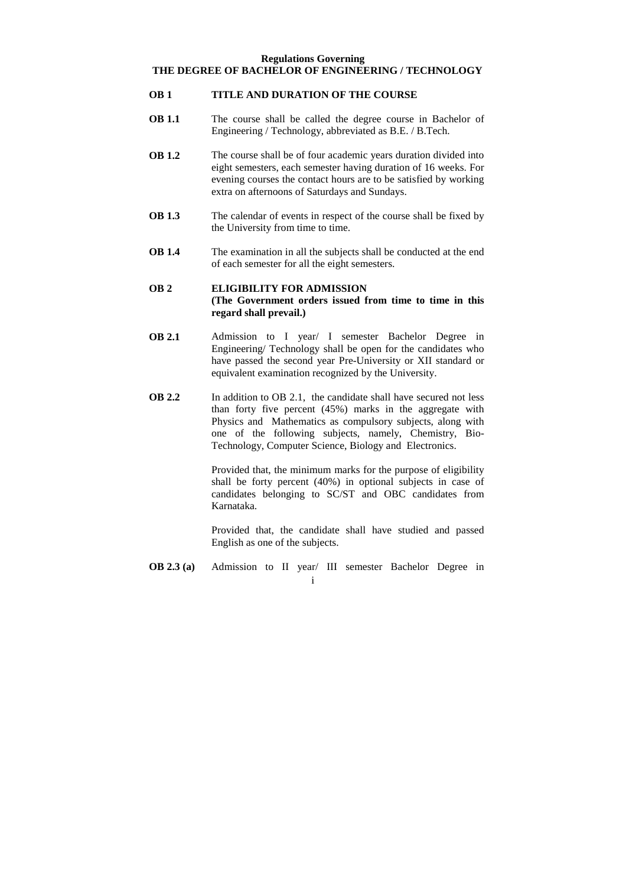#### **Regulations Governing THE DEGREE OF BACHELOR OF ENGINEERING / TECHNOLOGY**

### **OB 1 TITLE AND DURATION OF THE COURSE**

- **OB 1.1** The course shall be called the degree course in Bachelor of Engineering / Technology, abbreviated as B.E. / B.Tech.
- **OB 1.2** The course shall be of four academic years duration divided into eight semesters, each semester having duration of 16 weeks. For evening courses the contact hours are to be satisfied by working extra on afternoons of Saturdays and Sundays.
- **OB 1.3** The calendar of events in respect of the course shall be fixed by the University from time to time.
- **OB 1.4** The examination in all the subjects shall be conducted at the end of each semester for all the eight semesters.

### **OB 2 ELIGIBILITY FOR ADMISSION (The Government orders issued from time to time in this regard shall prevail.)**

- **OB 2.1** Admission to I year/ I semester Bachelor Degree in Engineering/ Technology shall be open for the candidates who have passed the second year Pre-University or XII standard or equivalent examination recognized by the University.
- **OB 2.2** In addition to OB 2.1, the candidate shall have secured not less than forty five percent (45%) marks in the aggregate with Physics and Mathematics as compulsory subjects, along with one of the following subjects, namely, Chemistry, Bio-Technology, Computer Science, Biology and Electronics.

Provided that, the minimum marks for the purpose of eligibility shall be forty percent (40%) in optional subjects in case of candidates belonging to SC/ST and OBC candidates from Karnataka.

Provided that, the candidate shall have studied and passed English as one of the subjects.

**OB 2.3 (a)** Admission to II year/ III semester Bachelor Degree in

i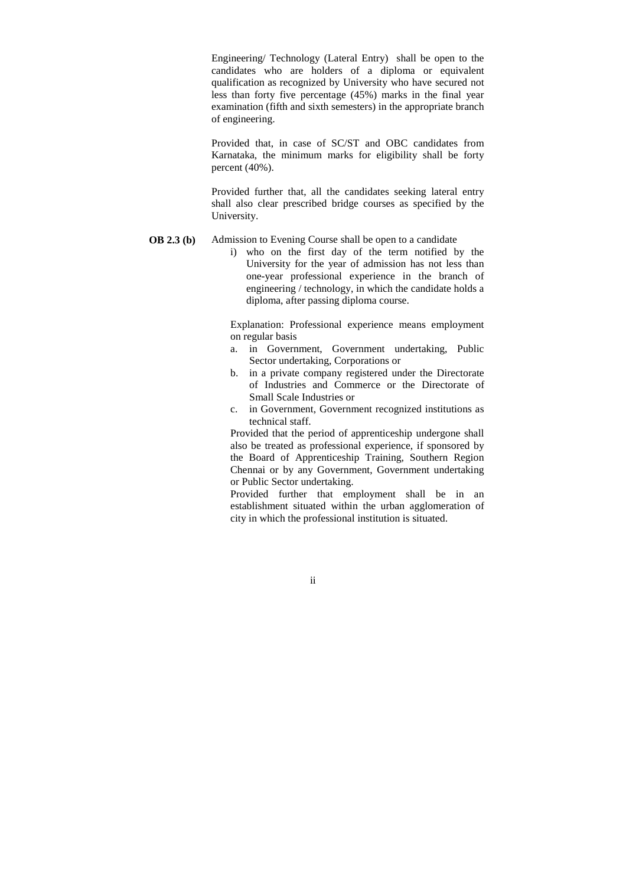Engineering/ Technology (Lateral Entry) shall be open to the candidates who are holders of a diploma or equivalent qualification as recognized by University who have secured not less than forty five percentage (45%) marks in the final year examination (fifth and sixth semesters) in the appropriate branch of engineering.

Provided that, in case of SC/ST and OBC candidates from Karnataka, the minimum marks for eligibility shall be forty percent (40%).

Provided further that, all the candidates seeking lateral entry shall also clear prescribed bridge courses as specified by the University.

## **OB 2.3 (b)** Admission to Evening Course shall be open to a candidate

i) who on the first day of the term notified by the University for the year of admission has not less than one-year professional experience in the branch of engineering / technology, in which the candidate holds a diploma, after passing diploma course.

Explanation: Professional experience means employment on regular basis

- a. in Government, Government undertaking, Public Sector undertaking, Corporations or
- b. in a private company registered under the Directorate of Industries and Commerce or the Directorate of Small Scale Industries or
- c. in Government, Government recognized institutions as technical staff.

Provided that the period of apprenticeship undergone shall also be treated as professional experience, if sponsored by the Board of Apprenticeship Training, Southern Region Chennai or by any Government, Government undertaking or Public Sector undertaking.

Provided further that employment shall be in an establishment situated within the urban agglomeration of city in which the professional institution is situated.

ii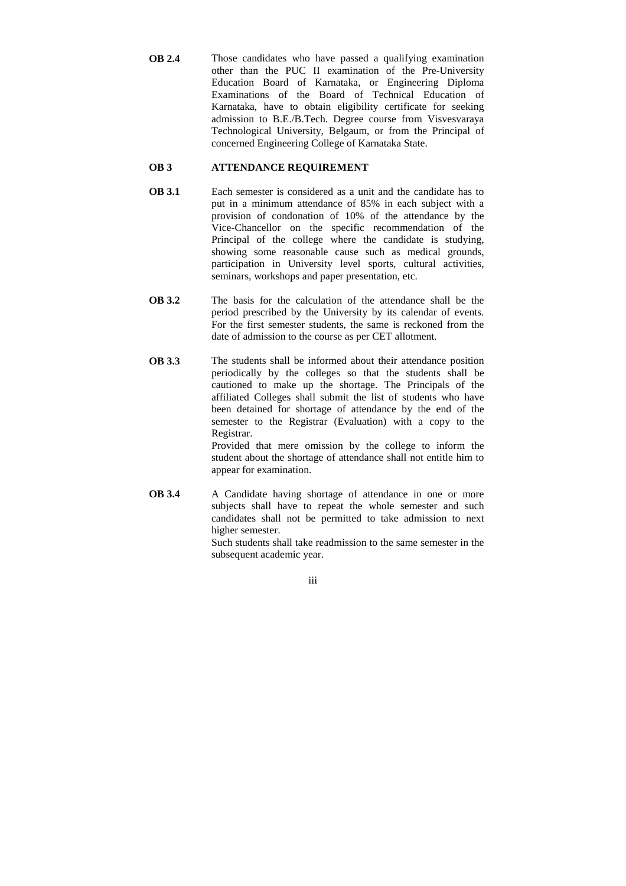**OB 2.4** Those candidates who have passed a qualifying examination other than the PUC II examination of the Pre-University Education Board of Karnataka, or Engineering Diploma Examinations of the Board of Technical Education of Karnataka, have to obtain eligibility certificate for seeking admission to B.E./B.Tech. Degree course from Visvesvaraya Technological University, Belgaum, or from the Principal of concerned Engineering College of Karnataka State.

# **OB 3 ATTENDANCE REQUIREMENT**

- **OB 3.1** Each semester is considered as a unit and the candidate has to put in a minimum attendance of 85% in each subject with a provision of condonation of 10% of the attendance by the Vice-Chancellor on the specific recommendation of the Principal of the college where the candidate is studying, showing some reasonable cause such as medical grounds, participation in University level sports, cultural activities, seminars, workshops and paper presentation, etc.
- **OB 3.2** The basis for the calculation of the attendance shall be the period prescribed by the University by its calendar of events. For the first semester students, the same is reckoned from the date of admission to the course as per CET allotment.
- **OB 3.3** The students shall be informed about their attendance position periodically by the colleges so that the students shall be cautioned to make up the shortage. The Principals of the affiliated Colleges shall submit the list of students who have been detained for shortage of attendance by the end of the semester to the Registrar (Evaluation) with a copy to the Registrar.

Provided that mere omission by the college to inform the student about the shortage of attendance shall not entitle him to appear for examination.

**OB 3.4** A Candidate having shortage of attendance in one or more subjects shall have to repeat the whole semester and such candidates shall not be permitted to take admission to next higher semester.

Such students shall take readmission to the same semester in the subsequent academic year.

iii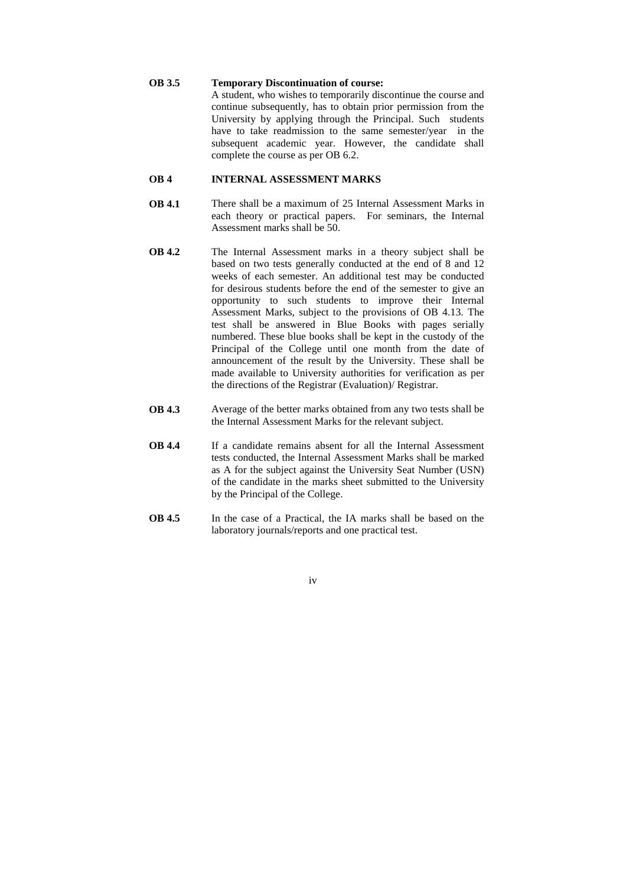### **OB 3.5 Temporary Discontinuation of course:**

A student, who wishes to temporarily discontinue the course and continue subsequently, has to obtain prior permission from the University by applying through the Principal. Such students have to take readmission to the same semester/year in the subsequent academic year. However, the candidate shall complete the course as per OB 6.2.

# **OB 4 INTERNAL ASSESSMENT MARKS**

- **OB 4.1** There shall be a maximum of 25 Internal Assessment Marks in each theory or practical papers. For seminars, the Internal Assessment marks shall be 50.
- **OB 4.2** The Internal Assessment marks in a theory subject shall be based on two tests generally conducted at the end of 8 and 12 weeks of each semester. An additional test may be conducted for desirous students before the end of the semester to give an opportunity to such students to improve their Internal Assessment Marks, subject to the provisions of OB 4.13. The test shall be answered in Blue Books with pages serially numbered. These blue books shall be kept in the custody of the Principal of the College until one month from the date of announcement of the result by the University. These shall be made available to University authorities for verification as per the directions of the Registrar (Evaluation)/ Registrar.
- **OB 4.3** •• Average of the better marks obtained from any two tests shall be the Internal Assessment Marks for the relevant subject.
- **OB 4.4** If a candidate remains absent for all the Internal Assessment tests conducted, the Internal Assessment Marks shall be marked as A for the subject against the University Seat Number (USN) of the candidate in the marks sheet submitted to the University by the Principal of the College.
- **OB 4.5** In the case of a Practical, the IA marks shall be based on the laboratory journals/reports and one practical test.

iv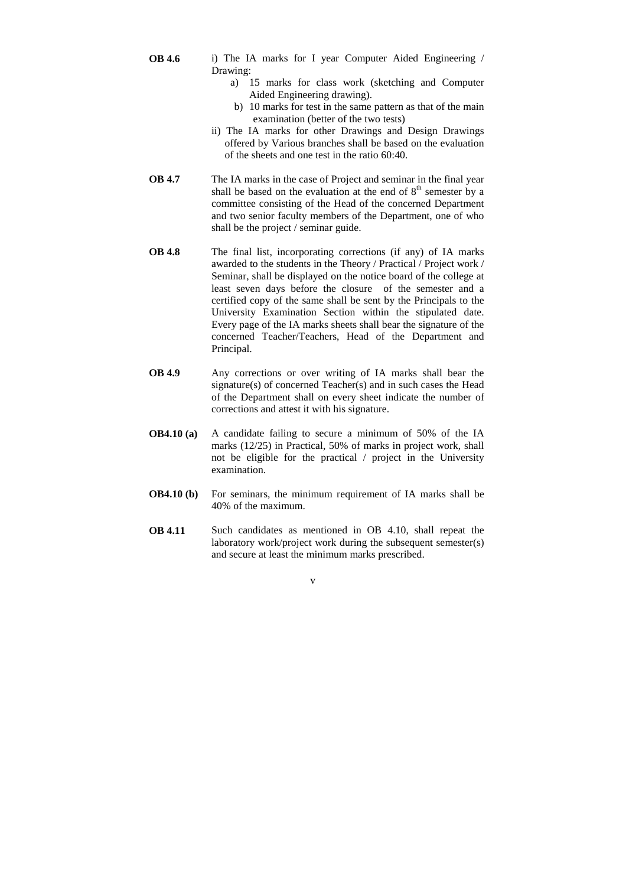- **OB 4.6** i) The IA marks for I year Computer Aided Engineering / Drawing:
	- a) 15 marks for class work (sketching and Computer Aided Engineering drawing).
	- b) 10 marks for test in the same pattern as that of the main examination (better of the two tests)
	- ii) The IA marks for other Drawings and Design Drawings offered by Various branches shall be based on the evaluation of the sheets and one test in the ratio 60:40.
- **OB 4.7** The IA marks in the case of Project and seminar in the final year shall be based on the evaluation at the end of  $8<sup>th</sup>$  semester by a committee consisting of the Head of the concerned Department and two senior faculty members of the Department, one of who shall be the project / seminar guide.
- **OB 4.8** The final list, incorporating corrections (if any) of IA marks awarded to the students in the Theory / Practical / Project work / Seminar, shall be displayed on the notice board of the college at least seven days before the closure of the semester and a certified copy of the same shall be sent by the Principals to the University Examination Section within the stipulated date. Every page of the IA marks sheets shall bear the signature of the concerned Teacher/Teachers, Head of the Department and Principal.
- **OB 4.9** Any corrections or over writing of IA marks shall bear the signature(s) of concerned Teacher(s) and in such cases the Head of the Department shall on every sheet indicate the number of corrections and attest it with his signature.
- **OB4.10 (a)** A candidate failing to secure a minimum of 50% of the IA marks (12/25) in Practical, 50% of marks in project work, shall not be eligible for the practical / project in the University examination.
- **OB4.10 (b)** For seminars, the minimum requirement of IA marks shall be 40% of the maximum.
- **OB 4.11** Such candidates as mentioned in OB 4.10, shall repeat the laboratory work/project work during the subsequent semester(s) and secure at least the minimum marks prescribed.

v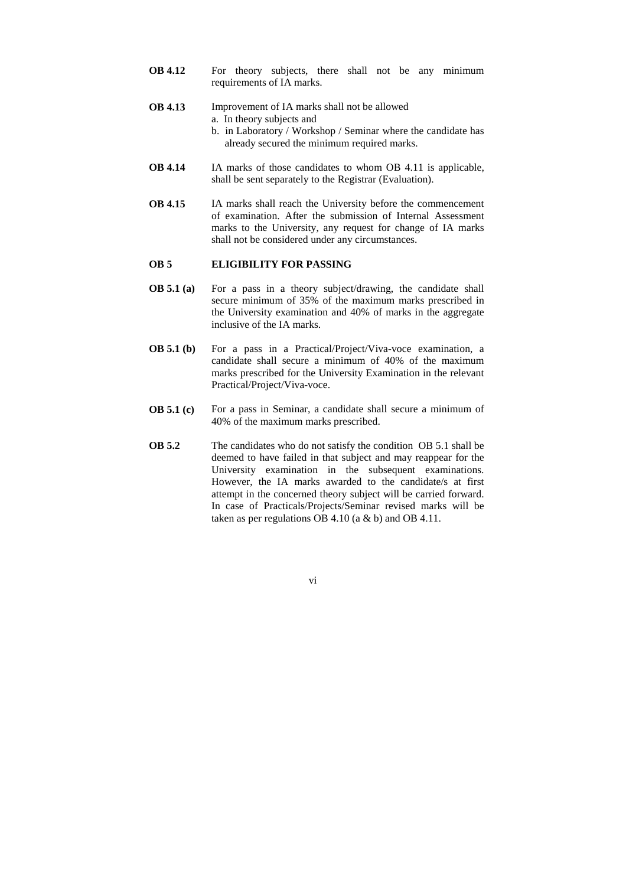- **OB 4.12** For theory subjects, there shall not be any minimum requirements of IA marks.
- **OB 4.13** Improvement of IA marks shall not be allowed a. In theory subjects and b. in Laboratory / Workshop / Seminar where the candidate has already secured the minimum required marks.
- **OB 4.14** IA marks of those candidates to whom OB 4.11 is applicable, shall be sent separately to the Registrar (Evaluation).
- **OB 4.15** IA marks shall reach the University before the commencement of examination. After the submission of Internal Assessment marks to the University, any request for change of IA marks shall not be considered under any circumstances.

### **OB 5 ELIGIBILITY FOR PASSING**

- **OB 5.1 (a)** For a pass in a theory subject/drawing, the candidate shall secure minimum of 35% of the maximum marks prescribed in the University examination and 40% of marks in the aggregate inclusive of the IA marks.
- **OB 5.1 (b)** For a pass in a Practical/Project/Viva-voce examination, a candidate shall secure a minimum of 40% of the maximum marks prescribed for the University Examination in the relevant Practical/Project/Viva-voce.
- **OB 5.1 (c)** For a pass in Seminar, a candidate shall secure a minimum of 40% of the maximum marks prescribed.
- **OB 5.2** The candidates who do not satisfy the condition OB 5.1 shall be deemed to have failed in that subject and may reappear for the University examination in the subsequent examinations. However, the IA marks awarded to the candidate/s at first attempt in the concerned theory subject will be carried forward. In case of Practicals/Projects/Seminar revised marks will be taken as per regulations OB 4.10 (a  $&$  b) and OB 4.11.
	- vi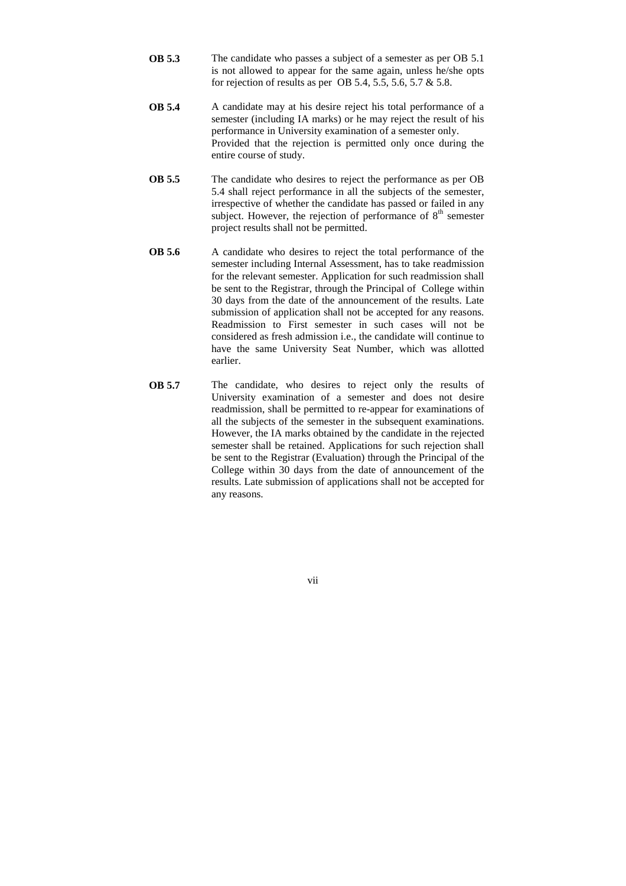- **OB 5.3** The candidate who passes a subject of a semester as per OB 5.1 is not allowed to appear for the same again, unless he/she opts for rejection of results as per OB 5.4, 5.5, 5.6, 5.7 & 5.8.
- **OB 5.4** A candidate may at his desire reject his total performance of a semester (including IA marks) or he may reject the result of his performance in University examination of a semester only. Provided that the rejection is permitted only once during the entire course of study.
- **OB 5.5** The candidate who desires to reject the performance as per OB 5.4 shall reject performance in all the subjects of the semester, irrespective of whether the candidate has passed or failed in any subject. However, the rejection of performance of  $8<sup>th</sup>$  semester project results shall not be permitted.
- **OB 5.6** A candidate who desires to reject the total performance of the semester including Internal Assessment, has to take readmission for the relevant semester. Application for such readmission shall be sent to the Registrar, through the Principal of College within 30 days from the date of the announcement of the results. Late submission of application shall not be accepted for any reasons. Readmission to First semester in such cases will not be considered as fresh admission i.e., the candidate will continue to have the same University Seat Number, which was allotted earlier.
- **OB 5.7** The candidate, who desires to reject only the results of University examination of a semester and does not desire readmission, shall be permitted to re-appear for examinations of all the subjects of the semester in the subsequent examinations. However, the IA marks obtained by the candidate in the rejected semester shall be retained. Applications for such rejection shall be sent to the Registrar (Evaluation) through the Principal of the College within 30 days from the date of announcement of the results. Late submission of applications shall not be accepted for any reasons.

vii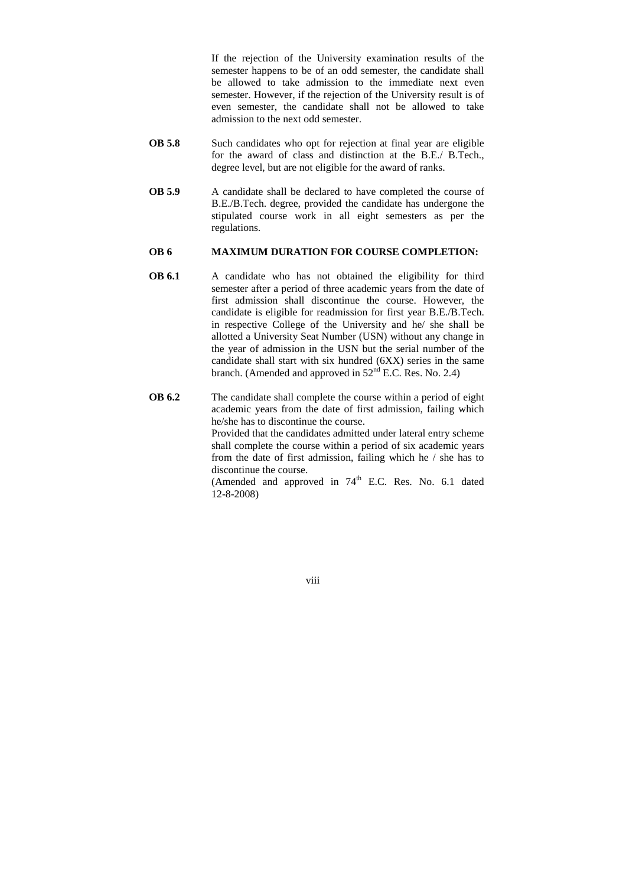If the rejection of the University examination results of the semester happens to be of an odd semester, the candidate shall be allowed to take admission to the immediate next even semester. However, if the rejection of the University result is of even semester, the candidate shall not be allowed to take admission to the next odd semester.

- **OB 5.8** Such candidates who opt for rejection at final year are eligible for the award of class and distinction at the B.E./ B.Tech., degree level, but are not eligible for the award of ranks.
- **OB 5.9** A candidate shall be declared to have completed the course of B.E./B.Tech. degree, provided the candidate has undergone the stipulated course work in all eight semesters as per the regulations.

### **OB 6 MAXIMUM DURATION FOR COURSE COMPLETION:**

- **OB 6.1** A candidate who has not obtained the eligibility for third semester after a period of three academic years from the date of first admission shall discontinue the course. However, the candidate is eligible for readmission for first year B.E./B.Tech. in respective College of the University and he/ she shall be allotted a University Seat Number (USN) without any change in the year of admission in the USN but the serial number of the candidate shall start with six hundred (6XX) series in the same branch. (Amended and approved in  $52<sup>nd</sup>$  E.C. Res. No. 2.4)
- **OB 6.2** The candidate shall complete the course within a period of eight academic years from the date of first admission, failing which he/she has to discontinue the course.

Provided that the candidates admitted under lateral entry scheme shall complete the course within a period of six academic years from the date of first admission, failing which he / she has to discontinue the course.

(Amended and approved in  $74<sup>th</sup>$  E.C. Res. No. 6.1 dated 12-8-2008)

viii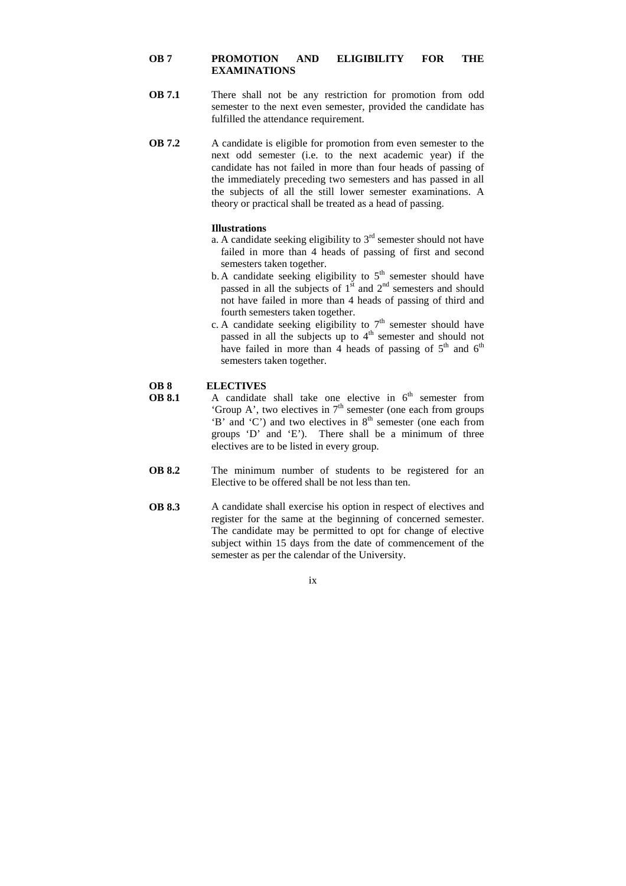### **OB 7 PROMOTION AND ELIGIBILITY FOR THE EXAMINATIONS**

- **OB 7.1** There shall not be any restriction for promotion from odd semester to the next even semester, provided the candidate has fulfilled the attendance requirement.
- **OB 7.2** A candidate is eligible for promotion from even semester to the next odd semester (i.e. to the next academic year) if the candidate has not failed in more than four heads of passing of the immediately preceding two semesters and has passed in all the subjects of all the still lower semester examinations. A theory or practical shall be treated as a head of passing.

### **Illustrations**

- a. A candidate seeking eligibility to  $3<sup>rd</sup>$  semester should not have failed in more than 4 heads of passing of first and second semesters taken together.
- b. A candidate seeking eligibility to  $5<sup>th</sup>$  semester should have passed in all the subjects of  $1<sup>st</sup>$  and  $2<sup>nd</sup>$  semesters and should not have failed in more than 4 heads of passing of third and fourth semesters taken together.
- c. A candidate seeking eligibility to  $7<sup>th</sup>$  semester should have passed in all the subjects up to 4<sup>th</sup> semester and should not have failed in more than 4 heads of passing of  $5<sup>th</sup>$  and  $6<sup>th</sup>$ semesters taken together.

### **OB 8 ELECTIVES**

- **OB 8.1** A candidate shall take one elective in 6<sup>th</sup> semester from 'Group A', two electives in  $7<sup>th</sup>$  semester (one each from groups  $B'$  and  $C'$ ) and two electives in  $8<sup>th</sup>$  semester (one each from groups 'D' and 'E'). There shall be a minimum of three electives are to be listed in every group.
- **OB 8.2** The minimum number of students to be registered for an Elective to be offered shall be not less than ten.
- **OB 8.3** A candidate shall exercise his option in respect of electives and register for the same at the beginning of concerned semester. The candidate may be permitted to opt for change of elective subject within 15 days from the date of commencement of the semester as per the calendar of the University.

#### ix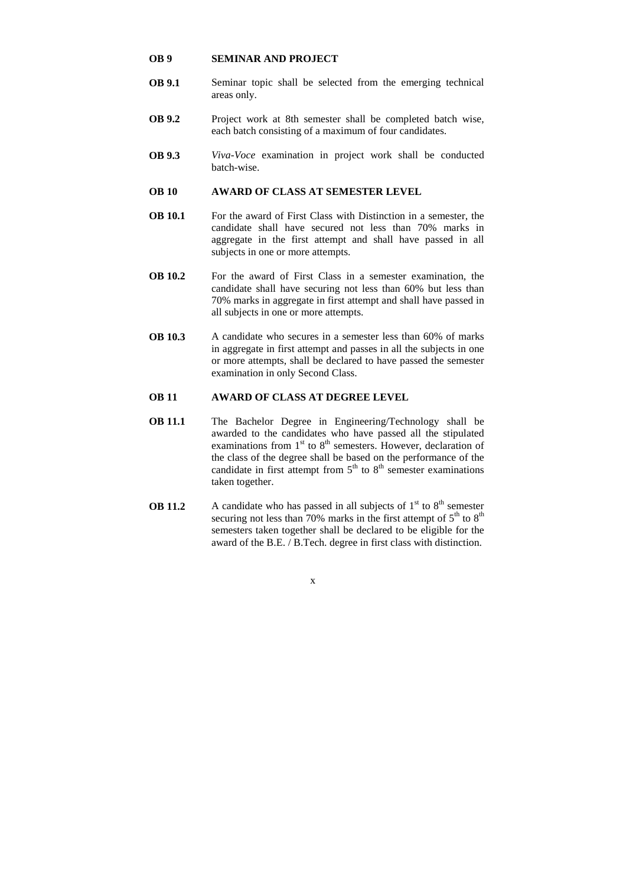#### **OB 9 SEMINAR AND PROJECT**

- **OB 9.1** Seminar topic shall be selected from the emerging technical areas only.
- **OB 9.2** Project work at 8th semester shall be completed batch wise, each batch consisting of a maximum of four candidates.
- **OB 9.3** *Viva-Voce* examination in project work shall be conducted batch-wise.

### **OB 10 AWARD OF CLASS AT SEMESTER LEVEL**

- **OB 10.1** For the award of First Class with Distinction in a semester, the candidate shall have secured not less than 70% marks in aggregate in the first attempt and shall have passed in all subjects in one or more attempts.
- **OB 10.2** For the award of First Class in a semester examination, the candidate shall have securing not less than 60% but less than 70% marks in aggregate in first attempt and shall have passed in all subjects in one or more attempts.
- **OB 10.3** A candidate who secures in a semester less than 60% of marks in aggregate in first attempt and passes in all the subjects in one or more attempts, shall be declared to have passed the semester examination in only Second Class.

# **OB 11 AWARD OF CLASS AT DEGREE LEVEL**

- **OB 11.1** The Bachelor Degree in Engineering/Technology shall be awarded to the candidates who have passed all the stipulated examinations from  $1<sup>st</sup>$  to  $8<sup>th</sup>$  semesters. However, declaration of the class of the degree shall be based on the performance of the candidate in first attempt from  $5<sup>th</sup>$  to  $8<sup>th</sup>$  semester examinations taken together.
- **OB 11.2** A candidate who has passed in all subjects of  $1<sup>st</sup>$  to  $8<sup>th</sup>$  semester securing not less than 70% marks in the first attempt of  $5<sup>th</sup>$  to  $8<sup>th</sup>$ semesters taken together shall be declared to be eligible for the award of the B.E. / B.Tech. degree in first class with distinction.

x and the state of the state of the state of the state of the state of the state of the state of the state of the state of the state of the state of the state of the state of the state of the state of the state of the stat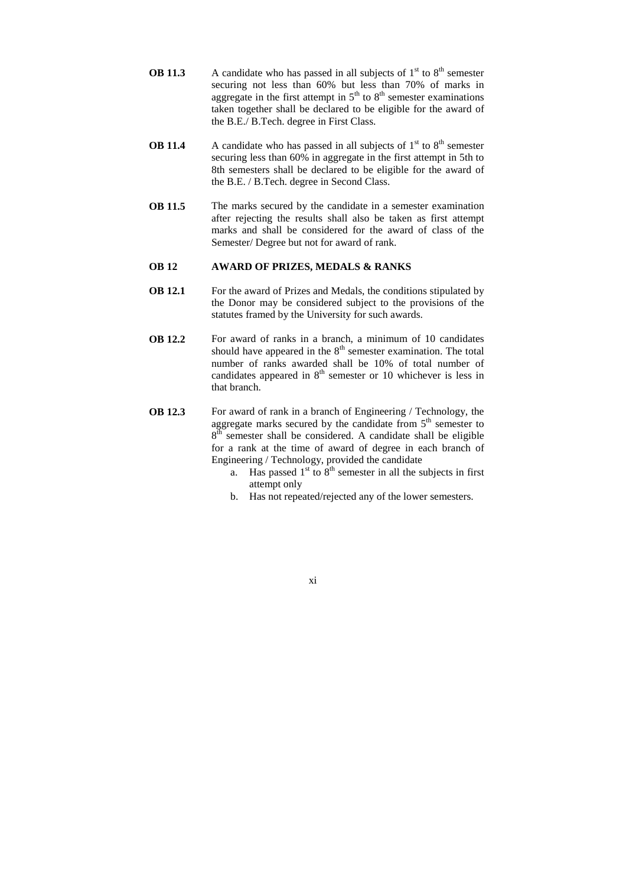- **OB 11.3** A candidate who has passed in all subjects of  $1<sup>st</sup>$  to  $8<sup>th</sup>$  semester securing not less than 60% but less than 70% of marks in aggregate in the first attempt in  $5<sup>th</sup>$  to  $8<sup>th</sup>$  semester examinations taken together shall be declared to be eligible for the award of the B.E./ B.Tech. degree in First Class.
- **OB 11.4** A candidate who has passed in all subjects of  $1<sup>st</sup>$  to  $8<sup>th</sup>$  semester securing less than 60% in aggregate in the first attempt in 5th to 8th semesters shall be declared to be eligible for the award of the B.E. / B.Tech. degree in Second Class.
- **OB 11.5** The marks secured by the candidate in a semester examination after rejecting the results shall also be taken as first attempt marks and shall be considered for the award of class of the Semester/ Degree but not for award of rank.

# **OB 12 AWARD OF PRIZES, MEDALS & RANKS**

- **OB 12.1** For the award of Prizes and Medals, the conditions stipulated by the Donor may be considered subject to the provisions of the statutes framed by the University for such awards.
- **OB 12.2** For award of ranks in a branch, a minimum of 10 candidates should have appeared in the  $8<sup>th</sup>$  semester examination. The total number of ranks awarded shall be 10% of total number of candidates appeared in  $8<sup>th</sup>$  semester or 10 whichever is less in that branch.
- **OB 12.3** For award of rank in a branch of Engineering / Technology, the aggregate marks secured by the candidate from  $5<sup>th</sup>$  semester to  $8<sup>th</sup>$  semester shall be considered. A candidate shall be eligible for a rank at the time of award of degree in each branch of Engineering / Technology, provided the candidate
	- a. Has passed  $1<sup>st</sup>$  to  $8<sup>th</sup>$  semester in all the subjects in first attempt only
	- b. Has not repeated/rejected any of the lower semesters.
		- xi